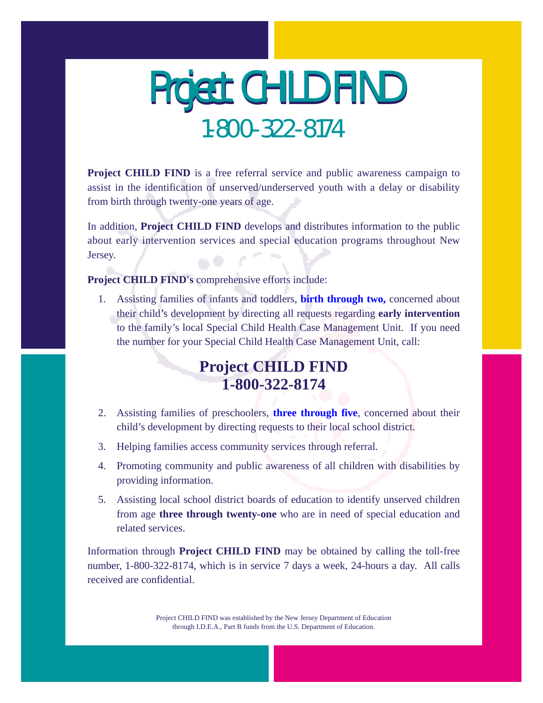# Project CHILD FIND 1-800-322-8174

**Project CHILD FIND** is a free referral service and public awareness campaign to assist in the identification of unserved/underserved youth with a delay or disability from birth through twenty-one years of age.

In addition, **Project CHILD FIND** develops and distributes information to the public about early intervention services and special education programs throughout New Jersey.

**Project CHILD FIND's** comprehensive efforts include:

1. Assisting families of infants and toddlers, **[birth through two,](#page-1-0)** concerned about their child's development by directing all requests regarding **early intervention** to the family's local Special Child Health Case Management Unit. If you need the number for your Special Child Health Case Management Unit, call:

### **Project CHILD FIND 1-800-322-8174**

- 2. Assisting families of preschoolers, **[three through five](#page-1-1)**, concerned about their child's development by directing requests to their local school district.
- 3. Helping families access community services through referral.
- 4. Promoting community and public awareness of all children with disabilities by providing information.
- 5. Assisting local school district boards of education to identify unserved children from age **three through twenty-one** who are in need of special education and related services.

Information through **Project CHILD FIND** may be obtained by calling the toll-free number, 1-800-322-8174, which is in service 7 days a week, 24-hours a day. All calls received are confidential.

> Project CHILD FIND was established by the New Jersey Department of Education through I.D.E.A., Part B funds from the U.S. Department of Education.